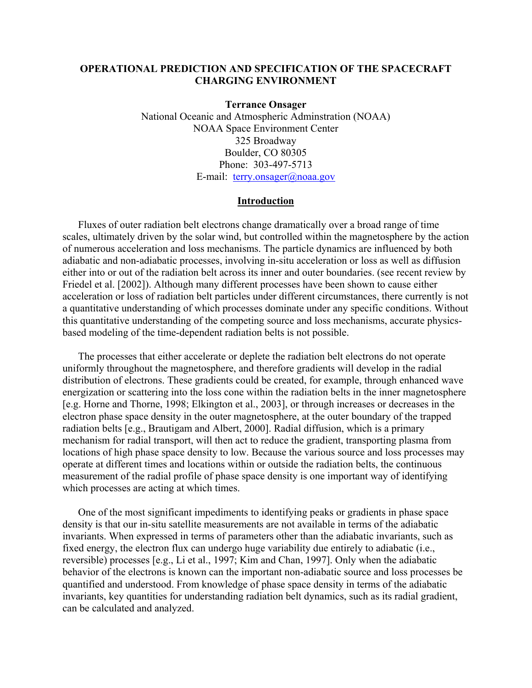## **OPERATIONAL PREDICTION AND SPECIFICATION OF THE SPACECRAFT CHARGING ENVIRONMENT**

**Terrance Onsager**  National Oceanic and Atmospheric Adminstration (NOAA) NOAA Space Environment Center 325 Broadway Boulder, CO 80305 Phone: 303-497-5713 E-mail: [terry.onsager@noaa.gov](mailto:terry.onsager@noaa.gov)

#### **Introduction**

Fluxes of outer radiation belt electrons change dramatically over a broad range of time scales, ultimately driven by the solar wind, but controlled within the magnetosphere by the action of numerous acceleration and loss mechanisms. The particle dynamics are influenced by both adiabatic and non-adiabatic processes, involving in-situ acceleration or loss as well as diffusion either into or out of the radiation belt across its inner and outer boundaries. (see recent review by Friedel et al. [2002]). Although many different processes have been shown to cause either acceleration or loss of radiation belt particles under different circumstances, there currently is not a quantitative understanding of which processes dominate under any specific conditions. Without this quantitative understanding of the competing source and loss mechanisms, accurate physicsbased modeling of the time-dependent radiation belts is not possible.

The processes that either accelerate or deplete the radiation belt electrons do not operate uniformly throughout the magnetosphere, and therefore gradients will develop in the radial distribution of electrons. These gradients could be created, for example, through enhanced wave energization or scattering into the loss cone within the radiation belts in the inner magnetosphere [e.g. Horne and Thorne, 1998; Elkington et al., 2003], or through increases or decreases in the electron phase space density in the outer magnetosphere, at the outer boundary of the trapped radiation belts [e.g., Brautigam and Albert, 2000]. Radial diffusion, which is a primary mechanism for radial transport, will then act to reduce the gradient, transporting plasma from locations of high phase space density to low. Because the various source and loss processes may operate at different times and locations within or outside the radiation belts, the continuous measurement of the radial profile of phase space density is one important way of identifying which processes are acting at which times.

One of the most significant impediments to identifying peaks or gradients in phase space density is that our in-situ satellite measurements are not available in terms of the adiabatic invariants. When expressed in terms of parameters other than the adiabatic invariants, such as fixed energy, the electron flux can undergo huge variability due entirely to adiabatic (i.e., reversible) processes [e.g., Li et al., 1997; Kim and Chan, 1997]. Only when the adiabatic behavior of the electrons is known can the important non-adiabatic source and loss processes be quantified and understood. From knowledge of phase space density in terms of the adiabatic invariants, key quantities for understanding radiation belt dynamics, such as its radial gradient, can be calculated and analyzed.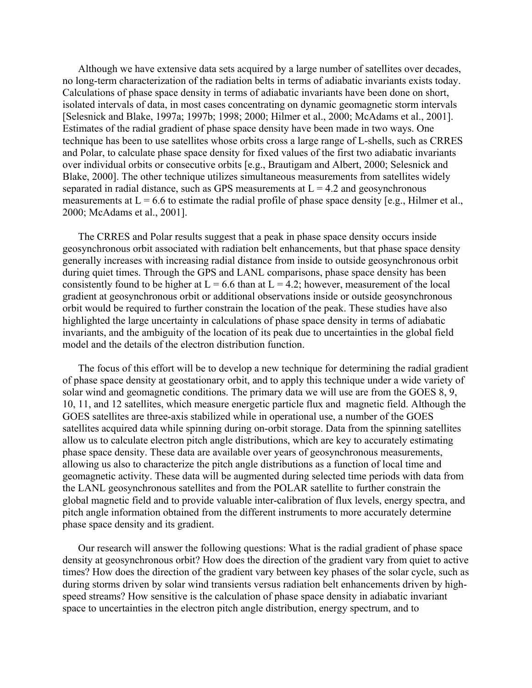Although we have extensive data sets acquired by a large number of satellites over decades, no long-term characterization of the radiation belts in terms of adiabatic invariants exists today. Calculations of phase space density in terms of adiabatic invariants have been done on short, isolated intervals of data, in most cases concentrating on dynamic geomagnetic storm intervals [Selesnick and Blake, 1997a; 1997b; 1998; 2000; Hilmer et al., 2000; McAdams et al., 2001]. Estimates of the radial gradient of phase space density have been made in two ways. One technique has been to use satellites whose orbits cross a large range of L-shells, such as CRRES and Polar, to calculate phase space density for fixed values of the first two adiabatic invariants over individual orbits or consecutive orbits [e.g., Brautigam and Albert, 2000; Selesnick and Blake, 2000]. The other technique utilizes simultaneous measurements from satellites widely separated in radial distance, such as GPS measurements at  $L = 4.2$  and geosynchronous measurements at  $L = 6.6$  to estimate the radial profile of phase space density [e.g., Hilmer et al., 2000; McAdams et al., 2001].

The CRRES and Polar results suggest that a peak in phase space density occurs inside geosynchronous orbit associated with radiation belt enhancements, but that phase space density generally increases with increasing radial distance from inside to outside geosynchronous orbit during quiet times. Through the GPS and LANL comparisons, phase space density has been consistently found to be higher at  $L = 6.6$  than at  $L = 4.2$ ; however, measurement of the local gradient at geosynchronous orbit or additional observations inside or outside geosynchronous orbit would be required to further constrain the location of the peak. These studies have also highlighted the large uncertainty in calculations of phase space density in terms of adiabatic invariants, and the ambiguity of the location of its peak due to uncertainties in the global field model and the details of the electron distribution function.

The focus of this effort will be to develop a new technique for determining the radial gradient of phase space density at geostationary orbit, and to apply this technique under a wide variety of solar wind and geomagnetic conditions. The primary data we will use are from the GOES 8, 9, 10, 11, and 12 satellites, which measure energetic particle flux and magnetic field. Although the GOES satellites are three-axis stabilized while in operational use, a number of the GOES satellites acquired data while spinning during on-orbit storage. Data from the spinning satellites allow us to calculate electron pitch angle distributions, which are key to accurately estimating phase space density. These data are available over years of geosynchronous measurements, allowing us also to characterize the pitch angle distributions as a function of local time and geomagnetic activity. These data will be augmented during selected time periods with data from the LANL geosynchronous satellites and from the POLAR satellite to further constrain the global magnetic field and to provide valuable inter-calibration of flux levels, energy spectra, and pitch angle information obtained from the different instruments to more accurately determine phase space density and its gradient.

Our research will answer the following questions: What is the radial gradient of phase space density at geosynchronous orbit? How does the direction of the gradient vary from quiet to active times? How does the direction of the gradient vary between key phases of the solar cycle, such as during storms driven by solar wind transients versus radiation belt enhancements driven by highspeed streams? How sensitive is the calculation of phase space density in adiabatic invariant space to uncertainties in the electron pitch angle distribution, energy spectrum, and to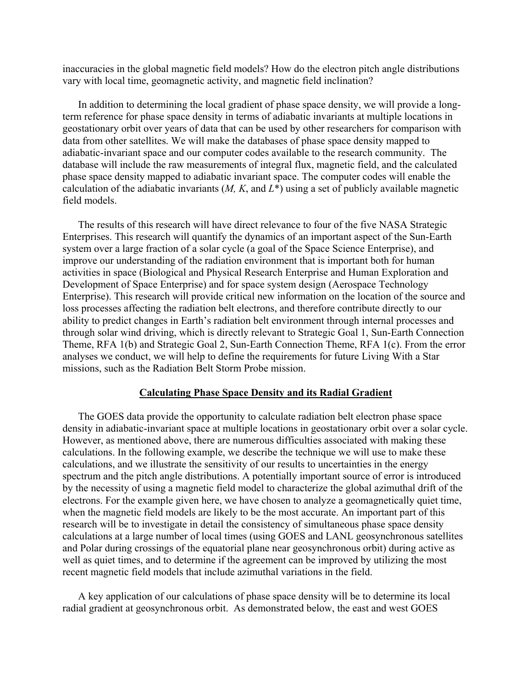inaccuracies in the global magnetic field models? How do the electron pitch angle distributions vary with local time, geomagnetic activity, and magnetic field inclination?

In addition to determining the local gradient of phase space density, we will provide a longterm reference for phase space density in terms of adiabatic invariants at multiple locations in geostationary orbit over years of data that can be used by other researchers for comparison with data from other satellites. We will make the databases of phase space density mapped to adiabatic-invariant space and our computer codes available to the research community. The database will include the raw measurements of integral flux, magnetic field, and the calculated phase space density mapped to adiabatic invariant space. The computer codes will enable the calculation of the adiabatic invariants (*M, K*, and *L*\*) using a set of publicly available magnetic field models.

The results of this research will have direct relevance to four of the five NASA Strategic Enterprises. This research will quantify the dynamics of an important aspect of the Sun-Earth system over a large fraction of a solar cycle (a goal of the Space Science Enterprise), and improve our understanding of the radiation environment that is important both for human activities in space (Biological and Physical Research Enterprise and Human Exploration and Development of Space Enterprise) and for space system design (Aerospace Technology Enterprise). This research will provide critical new information on the location of the source and loss processes affecting the radiation belt electrons, and therefore contribute directly to our ability to predict changes in Earth's radiation belt environment through internal processes and through solar wind driving, which is directly relevant to Strategic Goal 1, Sun-Earth Connection Theme, RFA 1(b) and Strategic Goal 2, Sun-Earth Connection Theme, RFA 1(c). From the error analyses we conduct, we will help to define the requirements for future Living With a Star missions, such as the Radiation Belt Storm Probe mission.

#### **Calculating Phase Space Density and its Radial Gradient**

The GOES data provide the opportunity to calculate radiation belt electron phase space density in adiabatic-invariant space at multiple locations in geostationary orbit over a solar cycle. However, as mentioned above, there are numerous difficulties associated with making these calculations. In the following example, we describe the technique we will use to make these calculations, and we illustrate the sensitivity of our results to uncertainties in the energy spectrum and the pitch angle distributions. A potentially important source of error is introduced by the necessity of using a magnetic field model to characterize the global azimuthal drift of the electrons. For the example given here, we have chosen to analyze a geomagnetically quiet time, when the magnetic field models are likely to be the most accurate. An important part of this research will be to investigate in detail the consistency of simultaneous phase space density calculations at a large number of local times (using GOES and LANL geosynchronous satellites and Polar during crossings of the equatorial plane near geosynchronous orbit) during active as well as quiet times, and to determine if the agreement can be improved by utilizing the most recent magnetic field models that include azimuthal variations in the field.

A key application of our calculations of phase space density will be to determine its local radial gradient at geosynchronous orbit. As demonstrated below, the east and west GOES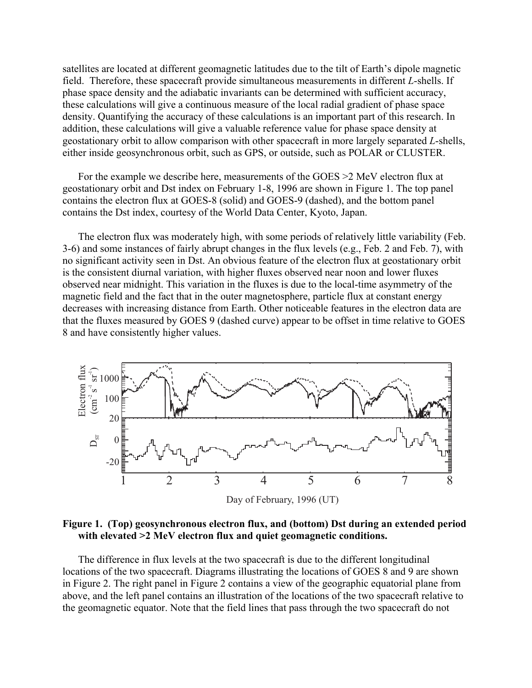satellites are located at different geomagnetic latitudes due to the tilt of Earth's dipole magnetic field. Therefore, these spacecraft provide simultaneous measurements in different *L*-shells. If phase space density and the adiabatic invariants can be determined with sufficient accuracy, these calculations will give a continuous measure of the local radial gradient of phase space density. Quantifying the accuracy of these calculations is an important part of this research. In addition, these calculations will give a valuable reference value for phase space density at geostationary orbit to allow comparison with other spacecraft in more largely separated *L*-shells, either inside geosynchronous orbit, such as GPS, or outside, such as POLAR or CLUSTER.

For the example we describe here, measurements of the GOES >2 MeV electron flux at geostationary orbit and Dst index on February 1-8, 1996 are shown in Figure 1. The top panel contains the electron flux at GOES-8 (solid) and GOES-9 (dashed), and the bottom panel contains the Dst index, courtesy of the World Data Center, Kyoto, Japan.

The electron flux was moderately high, with some periods of relatively little variability (Feb. 3-6) and some instances of fairly abrupt changes in the flux levels (e.g., Feb. 2 and Feb. 7), with no significant activity seen in Dst. An obvious feature of the electron flux at geostationary orbit is the consistent diurnal variation, with higher fluxes observed near noon and lower fluxes observed near midnight. This variation in the fluxes is due to the local-time asymmetry of the magnetic field and the fact that in the outer magnetosphere, particle flux at constant energy decreases with increasing distance from Earth. Other noticeable features in the electron data are that the fluxes measured by GOES 9 (dashed curve) appear to be offset in time relative to GOES 8 and have consistently higher values.



**Figure 1. (Top) geosynchronous electron flux, and (bottom) Dst during an extended period with elevated >2 MeV electron flux and quiet geomagnetic conditions.** 

The difference in flux levels at the two spacecraft is due to the different longitudinal locations of the two spacecraft. Diagrams illustrating the locations of GOES 8 and 9 are shown in Figure 2. The right panel in Figure 2 contains a view of the geographic equatorial plane from above, and the left panel contains an illustration of the locations of the two spacecraft relative to the geomagnetic equator. Note that the field lines that pass through the two spacecraft do not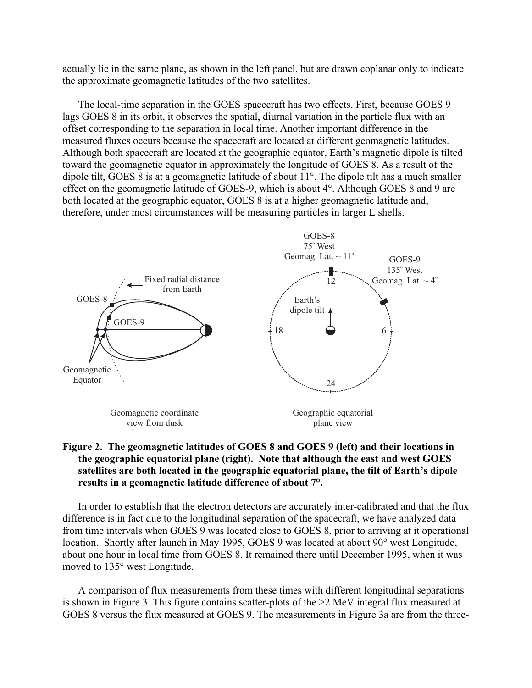actually lie in the same plane, as shown in the left panel, but are drawn coplanar only to indicate the approximate geomagnetic latitudes of the two satellites.

The local-time separation in the GOES spacecraft has two effects. First, because GOES 9 lags GOES 8 in its orbit, it observes the spatial, diurnal variation in the particle flux with an offset corresponding to the separation in local time. Another important difference in the measured fluxes occurs because the spacecraft are located at different geomagnetic latitudes. Although both spacecraft are located at the geographic equator, Earth's magnetic dipole is tilted toward the geomagnetic equator in approximately the longitude of GOES 8. As a result of the dipole tilt, GOES 8 is at a geomagnetic latitude of about 11°. The dipole tilt has a much smaller effect on the geomagnetic latitude of GOES-9, which is about 4°. Although GOES 8 and 9 are both located at the geographic equator, GOES 8 is at a higher geomagnetic latitude and, therefore, under most circumstances will be measuring particles in larger L shells.



# **Figure 2. The geomagnetic latitudes of GOES 8 and GOES 9 (left) and their locations in the geographic equatorial plane (right). Note that although the east and west GOES satellites are both located in the geographic equatorial plane, the tilt of Earth's dipole results in a geomagnetic latitude difference of about 7°.**

In order to establish that the electron detectors are accurately inter-calibrated and that the flux difference is in fact due to the longitudinal separation of the spacecraft, we have analyzed data from time intervals when GOES 9 was located close to GOES 8, prior to arriving at it operational location. Shortly after launch in May 1995, GOES 9 was located at about 90° west Longitude, about one hour in local time from GOES 8. It remained there until December 1995, when it was moved to 135° west Longitude.

A comparison of flux measurements from these times with different longitudinal separations is shown in Figure 3. This figure contains scatter-plots of the >2 MeV integral flux measured at GOES 8 versus the flux measured at GOES 9. The measurements in Figure 3a are from the three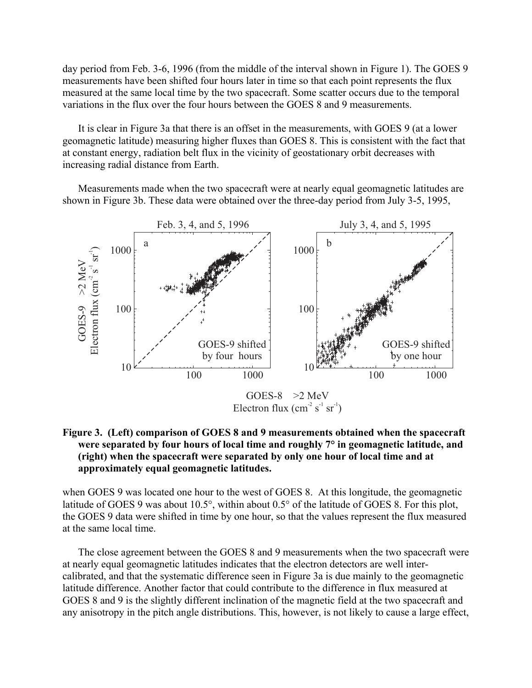day period from Feb. 3-6, 1996 (from the middle of the interval shown in Figure 1). The GOES 9 measurements have been shifted four hours later in time so that each point represents the flux measured at the same local time by the two spacecraft. Some scatter occurs due to the temporal variations in the flux over the four hours between the GOES 8 and 9 measurements.

It is clear in Figure 3a that there is an offset in the measurements, with GOES 9 (at a lower geomagnetic latitude) measuring higher fluxes than GOES 8. This is consistent with the fact that at constant energy, radiation belt flux in the vicinity of geostationary orbit decreases with increasing radial distance from Earth.

Measurements made when the two spacecraft were at nearly equal geomagnetic latitudes are shown in Figure 3b. These data were obtained over the three-day period from July 3-5, 1995,



# **Figure 3. (Left) comparison of GOES 8 and 9 measurements obtained when the spacecraft were separated by four hours of local time and roughly 7° in geomagnetic latitude, and (right) when the spacecraft were separated by only one hour of local time and at approximately equal geomagnetic latitudes.**

when GOES 9 was located one hour to the west of GOES 8. At this longitude, the geomagnetic latitude of GOES 9 was about 10.5°, within about 0.5° of the latitude of GOES 8. For this plot, the GOES 9 data were shifted in time by one hour, so that the values represent the flux measured at the same local time.

The close agreement between the GOES 8 and 9 measurements when the two spacecraft were at nearly equal geomagnetic latitudes indicates that the electron detectors are well intercalibrated, and that the systematic difference seen in Figure 3a is due mainly to the geomagnetic latitude difference. Another factor that could contribute to the difference in flux measured at GOES 8 and 9 is the slightly different inclination of the magnetic field at the two spacecraft and any anisotropy in the pitch angle distributions. This, however, is not likely to cause a large effect,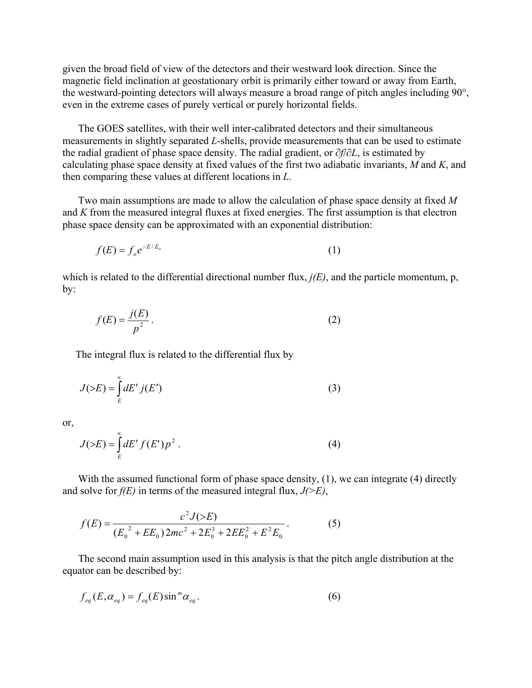given the broad field of view of the detectors and their westward look direction. Since the magnetic field inclination at geostationary orbit is primarily either toward or away from Earth, the westward-pointing detectors will always measure a broad range of pitch angles including 90°, even in the extreme cases of purely vertical or purely horizontal fields.

The GOES satellites, with their well inter-calibrated detectors and their simultaneous measurements in slightly separated *L*-shells, provide measurements that can be used to estimate the radial gradient of phase space density. The radial gradient, or ∂*f*/∂*L*, is estimated by calculating phase space density at fixed values of the first two adiabatic invariants, *M* and *K*, and then comparing these values at different locations in *L*.

Two main assumptions are made to allow the calculation of phase space density at fixed *M* and *K* from the measured integral fluxes at fixed energies. The first assumption is that electron phase space density can be approximated with an exponential distribution:

$$
f(E) = f_o e^{-E/E_o} \tag{1}
$$

which is related to the differential directional number flux, *j(E)*, and the particle momentum, p, by:

$$
f(E) = \frac{j(E)}{p^2}.
$$

The integral flux is related to the differential flux by

$$
J(\geq E) = \int_{E}^{\infty} dE' \, j(E')
$$
 (3)

or,

$$
J(\geq E) = \int_{E}^{\infty} dE' f(E') p^2.
$$
 (4)

With the assumed functional form of phase space density, (1), we can integrate (4) directly and solve for *f(E)* in terms of the measured integral flux, *J(>E)*,

$$
f(E) = \frac{c^2 J(>E)}{(E_0^2 + EE_0)2mc^2 + 2E_0^3 + 2EE_0^2 + E^2E_0}.
$$
 (5)

The second main assumption used in this analysis is that the pitch angle distribution at the equator can be described by:

$$
f_{eq}(E, \alpha_{eq}) = f_{eq}(E) \sin^m \alpha_{eq}.
$$
 (6)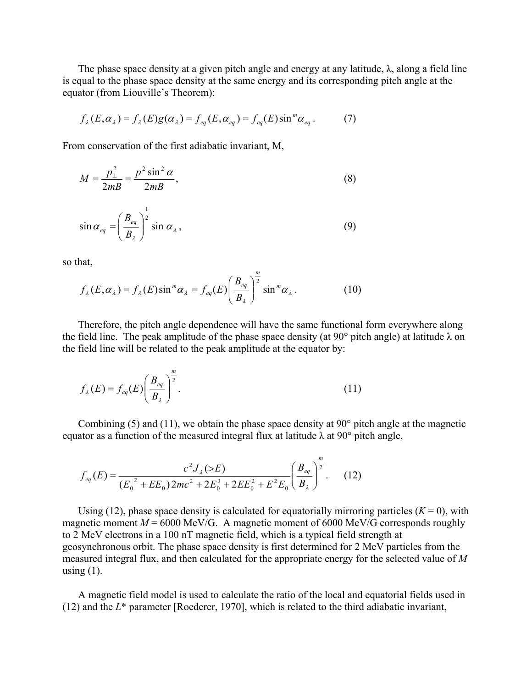The phase space density at a given pitch angle and energy at any latitude,  $\lambda$ , along a field line is equal to the phase space density at the same energy and its corresponding pitch angle at the equator (from Liouville's Theorem):

$$
f_{\lambda}(E,\alpha_{\lambda}) = f_{\lambda}(E)g(\alpha_{\lambda}) = f_{eq}(E,\alpha_{eq}) = f_{eq}(E)\sin^{m}\alpha_{eq}.
$$
 (7)

From conservation of the first adiabatic invariant, M,

$$
M = \frac{p_{\perp}^2}{2m} = \frac{p^2 \sin^2 \alpha}{2m},
$$
\n(8)

$$
\sin \alpha_{eq} = \left(\frac{B_{eq}}{B_{\lambda}}\right)^{\frac{1}{2}} \sin \alpha_{\lambda},\tag{9}
$$

so that,

$$
f_{\lambda}(E,\alpha_{\lambda}) = f_{\lambda}(E)\sin^{m}\alpha_{\lambda} = f_{eq}(E)\left(\frac{B_{eq}}{B_{\lambda}}\right)^{\frac{m}{2}}\sin^{m}\alpha_{\lambda}.
$$
 (10)

Therefore, the pitch angle dependence will have the same functional form everywhere along the field line. The peak amplitude of the phase space density (at 90 $^{\circ}$  pitch angle) at latitude  $\lambda$  on the field line will be related to the peak amplitude at the equator by:

$$
f_{\lambda}(E) = f_{eq}(E) \left(\frac{B_{eq}}{B_{\lambda}}\right)^{\frac{m}{2}}.
$$
\n(11)

Combining (5) and (11), we obtain the phase space density at 90° pitch angle at the magnetic equator as a function of the measured integral flux at latitude  $\lambda$  at 90° pitch angle,

$$
f_{eq}(E) = \frac{c^2 J_{\lambda}(\gg E)}{(E_0^2 + EE_0)2mc^2 + 2E_0^3 + 2EE_0^2 + E^2 E_0} \left(\frac{B_{eq}}{B_{\lambda}}\right)^{\frac{m}{2}}.
$$
 (12)

Using (12), phase space density is calculated for equatorially mirroring particles  $(K = 0)$ , with magnetic moment  $M = 6000$  MeV/G. A magnetic moment of 6000 MeV/G corresponds roughly to 2 MeV electrons in a 100 nT magnetic field, which is a typical field strength at geosynchronous orbit. The phase space density is first determined for 2 MeV particles from the measured integral flux, and then calculated for the appropriate energy for the selected value of *M* using  $(1)$ .

A magnetic field model is used to calculate the ratio of the local and equatorial fields used in (12) and the *L*\* parameter [Roederer, 1970], which is related to the third adiabatic invariant,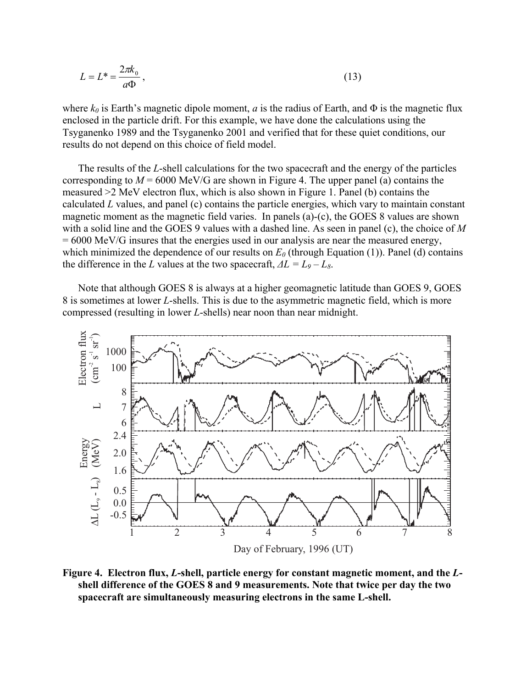$$
L = L^* = \frac{2\pi k_0}{a\Phi},\tag{13}
$$

where  $k_0$  is Earth's magnetic dipole moment, *a* is the radius of Earth, and  $\Phi$  is the magnetic flux enclosed in the particle drift. For this example, we have done the calculations using the Tsyganenko 1989 and the Tsyganenko 2001 and verified that for these quiet conditions, our results do not depend on this choice of field model.

The results of the *L*-shell calculations for the two spacecraft and the energy of the particles corresponding to  $M = 6000$  MeV/G are shown in Figure 4. The upper panel (a) contains the measured >2 MeV electron flux, which is also shown in Figure 1. Panel (b) contains the calculated *L* values, and panel (c) contains the particle energies, which vary to maintain constant magnetic moment as the magnetic field varies. In panels (a)-(c), the GOES 8 values are shown with a solid line and the GOES 9 values with a dashed line. As seen in panel (c), the choice of *M* = 6000 MeV/G insures that the energies used in our analysis are near the measured energy, which minimized the dependence of our results on  $E_0$  (through Equation (1)). Panel (d) contains the difference in the *L* values at the two spacecraft,  $\Delta L = L_9 - L_8$ .

Note that although GOES 8 is always at a higher geomagnetic latitude than GOES 9, GOES 8 is sometimes at lower *L*-shells. This is due to the asymmetric magnetic field, which is more compressed (resulting in lower *L*-shells) near noon than near midnight.



**Figure 4. Electron flux,** *L***-shell, particle energy for constant magnetic moment, and the** *L***shell difference of the GOES 8 and 9 measurements. Note that twice per day the two spacecraft are simultaneously measuring electrons in the same L-shell.**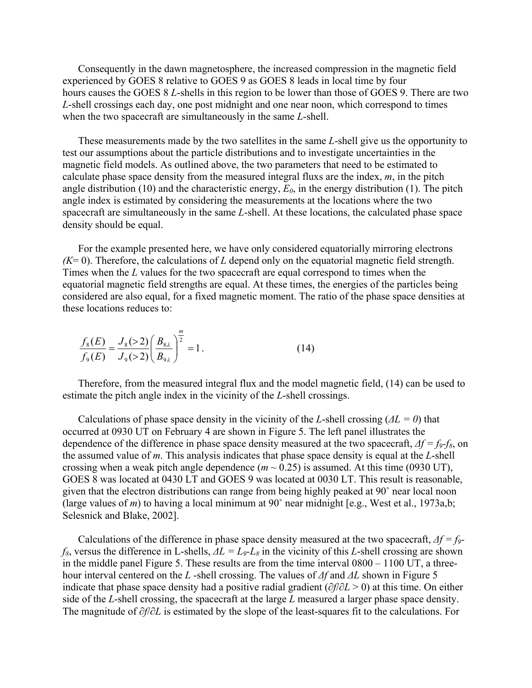Consequently in the dawn magnetosphere, the increased compression in the magnetic field experienced by GOES 8 relative to GOES 9 as GOES 8 leads in local time by four hours causes the GOES 8 *L*-shells in this region to be lower than those of GOES 9. There are two *L*-shell crossings each day, one post midnight and one near noon, which correspond to times when the two spacecraft are simultaneously in the same *L*-shell.

These measurements made by the two satellites in the same *L*-shell give us the opportunity to test our assumptions about the particle distributions and to investigate uncertainties in the magnetic field models. As outlined above, the two parameters that need to be estimated to calculate phase space density from the measured integral fluxs are the index, *m*, in the pitch angle distribution (10) and the characteristic energy,  $E_0$ , in the energy distribution (1). The pitch angle index is estimated by considering the measurements at the locations where the two spacecraft are simultaneously in the same *L*-shell. At these locations, the calculated phase space density should be equal.

For the example presented here, we have only considered equatorially mirroring electrons *(K*= 0). Therefore, the calculations of *L* depend only on the equatorial magnetic field strength. Times when the *L* values for the two spacecraft are equal correspond to times when the equatorial magnetic field strengths are equal. At these times, the energies of the particles being considered are also equal, for a fixed magnetic moment. The ratio of the phase space densities at these locations reduces to:

$$
\frac{f_8(E)}{f_9(E)} = \frac{J_8(>2)}{J_9(>2)} \left(\frac{B_{8\lambda}}{B_{9\lambda}}\right)^{\frac{m}{2}} = 1.
$$
\n(14)

Therefore, from the measured integral flux and the model magnetic field, (14) can be used to estimate the pitch angle index in the vicinity of the *L*-shell crossings.

Calculations of phase space density in the vicinity of the *L*-shell crossing (*∆L = 0*) that occurred at 0930 UT on February 4 are shown in Figure 5. The left panel illustrates the dependence of the difference in phase space density measured at the two spacecraft,  $\Delta f = f_9 - f_8$ , on the assumed value of *m*. This analysis indicates that phase space density is equal at the *L*-shell crossing when a weak pitch angle dependence  $(m \sim 0.25)$  is assumed. At this time (0930 UT), GOES 8 was located at 0430 LT and GOES 9 was located at 0030 LT. This result is reasonable, given that the electron distributions can range from being highly peaked at 90˚ near local noon (large values of *m*) to having a local minimum at 90 $^{\circ}$  near midnight [e.g., West et al., 1973a,b; Selesnick and Blake, 2002].

Calculations of the difference in phase space density measured at the two spacecraft, *∆f = f9 f8*, versus the difference in L-shells, *∆L = L9-L8* in the vicinity of this *L*-shell crossing are shown in the middle panel Figure 5. These results are from the time interval 0800 – 1100 UT, a threehour interval centered on the *L* -shell crossing. The values of *∆f* and *∆L* shown in Figure 5 indicate that phase space density had a positive radial gradient (*∂f*/*∂L* > 0) at this time. On either side of the *L*-shell crossing, the spacecraft at the large *L* measured a larger phase space density. The magnitude of *∂f*/*∂L* is estimated by the slope of the least-squares fit to the calculations. For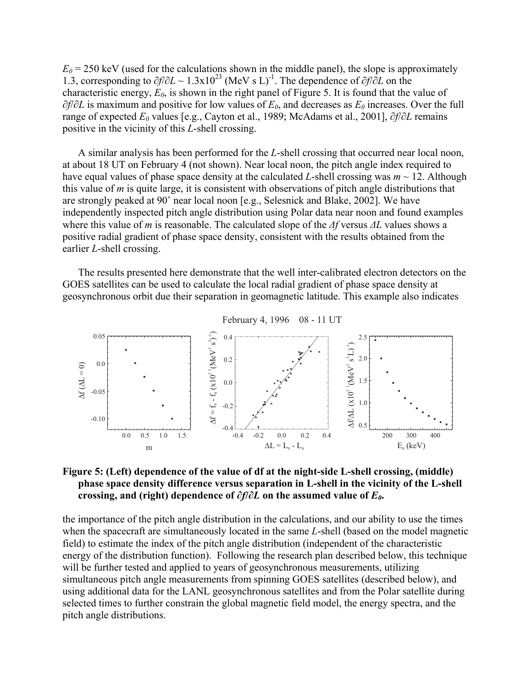$E_0$  = 250 keV (used for the calculations shown in the middle panel), the slope is approximately 1.3, corresponding to *∂f*/*∂L* ~ 1.3x1023 (MeV s L) -1. The dependence of *∂f*/*∂L* on the characteristic energy,  $E_0$ , is shown in the right panel of Figure 5. It is found that the value of *∂f*/∂*L* is maximum and positive for low values of  $E_0$ , and decreases as  $E_0$  increases. Over the full range of expected *E0* values [e.g., Cayton et al., 1989; McAdams et al., 2001], *∂f*/*∂L* remains positive in the vicinity of this *L*-shell crossing.

A similar analysis has been performed for the *L*-shell crossing that occurred near local noon, at about 18 UT on February 4 (not shown). Near local noon, the pitch angle index required to have equal values of phase space density at the calculated *L*-shell crossing was  $m \sim 12$ . Although this value of *m* is quite large, it is consistent with observations of pitch angle distributions that are strongly peaked at 90˚ near local noon [e.g., Selesnick and Blake, 2002]. We have independently inspected pitch angle distribution using Polar data near noon and found examples where this value of *m* is reasonable. The calculated slope of the *∆f* versus *∆L* values shows a positive radial gradient of phase space density, consistent with the results obtained from the earlier *L*-shell crossing.

The results presented here demonstrate that the well inter-calibrated electron detectors on the GOES satellites can be used to calculate the local radial gradient of phase space density at geosynchronous orbit due their separation in geomagnetic latitude. This example also indicates



# **Figure 5: (Left) dependence of the value of df at the night-side L-shell crossing, (middle) phase space density difference versus separation in L-shell in the vicinity of the L-shell crossing, and (right) dependence of**  $\partial f/\partial L$  **on the assumed value of**  $E_{\theta}$ **.**

the importance of the pitch angle distribution in the calculations, and our ability to use the times when the spacecraft are simultaneously located in the same *L*-shell (based on the model magnetic field) to estimate the index of the pitch angle distribution (independent of the characteristic energy of the distribution function). Following the research plan described below, this technique will be further tested and applied to years of geosynchronous measurements, utilizing simultaneous pitch angle measurements from spinning GOES satellites (described below), and using additional data for the LANL geosynchronous satellites and from the Polar satellite during selected times to further constrain the global magnetic field model, the energy spectra, and the pitch angle distributions.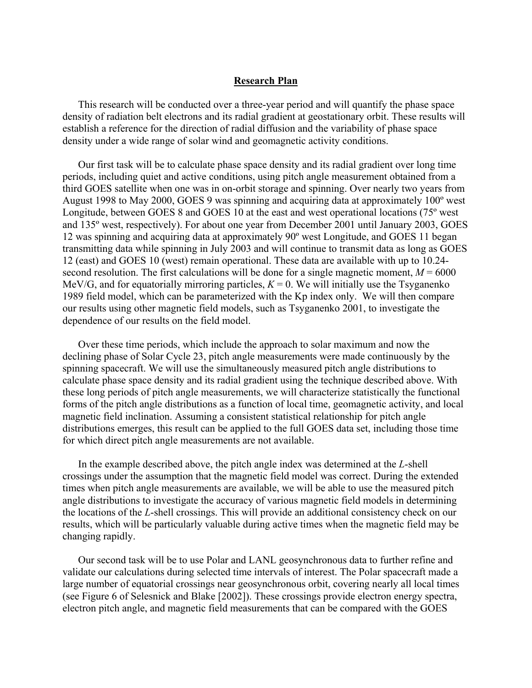### **Research Plan**

This research will be conducted over a three-year period and will quantify the phase space density of radiation belt electrons and its radial gradient at geostationary orbit. These results will establish a reference for the direction of radial diffusion and the variability of phase space density under a wide range of solar wind and geomagnetic activity conditions.

Our first task will be to calculate phase space density and its radial gradient over long time periods, including quiet and active conditions, using pitch angle measurement obtained from a third GOES satellite when one was in on-orbit storage and spinning. Over nearly two years from August 1998 to May 2000, GOES 9 was spinning and acquiring data at approximately 100º west Longitude, between GOES 8 and GOES 10 at the east and west operational locations (75º west and 135º west, respectively). For about one year from December 2001 until January 2003, GOES 12 was spinning and acquiring data at approximately 90º west Longitude, and GOES 11 began transmitting data while spinning in July 2003 and will continue to transmit data as long as GOES 12 (east) and GOES 10 (west) remain operational. These data are available with up to 10.24 second resolution. The first calculations will be done for a single magnetic moment,  $M = 6000$ MeV/G, and for equatorially mirroring particles,  $K = 0$ . We will initially use the Tsyganenko 1989 field model, which can be parameterized with the Kp index only. We will then compare our results using other magnetic field models, such as Tsyganenko 2001, to investigate the dependence of our results on the field model.

Over these time periods, which include the approach to solar maximum and now the declining phase of Solar Cycle 23, pitch angle measurements were made continuously by the spinning spacecraft. We will use the simultaneously measured pitch angle distributions to calculate phase space density and its radial gradient using the technique described above. With these long periods of pitch angle measurements, we will characterize statistically the functional forms of the pitch angle distributions as a function of local time, geomagnetic activity, and local magnetic field inclination. Assuming a consistent statistical relationship for pitch angle distributions emerges, this result can be applied to the full GOES data set, including those time for which direct pitch angle measurements are not available.

In the example described above, the pitch angle index was determined at the *L*-shell crossings under the assumption that the magnetic field model was correct. During the extended times when pitch angle measurements are available, we will be able to use the measured pitch angle distributions to investigate the accuracy of various magnetic field models in determining the locations of the *L*-shell crossings. This will provide an additional consistency check on our results, which will be particularly valuable during active times when the magnetic field may be changing rapidly.

Our second task will be to use Polar and LANL geosynchronous data to further refine and validate our calculations during selected time intervals of interest. The Polar spacecraft made a large number of equatorial crossings near geosynchronous orbit, covering nearly all local times (see Figure 6 of Selesnick and Blake [2002]). These crossings provide electron energy spectra, electron pitch angle, and magnetic field measurements that can be compared with the GOES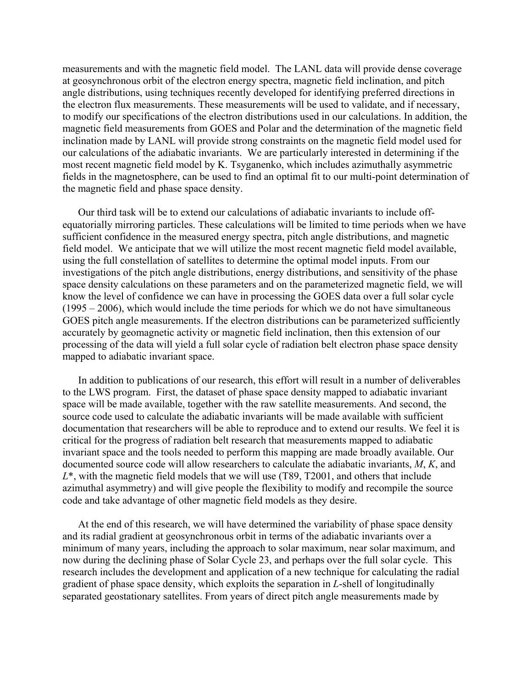measurements and with the magnetic field model. The LANL data will provide dense coverage at geosynchronous orbit of the electron energy spectra, magnetic field inclination, and pitch angle distributions, using techniques recently developed for identifying preferred directions in the electron flux measurements. These measurements will be used to validate, and if necessary, to modify our specifications of the electron distributions used in our calculations. In addition, the magnetic field measurements from GOES and Polar and the determination of the magnetic field inclination made by LANL will provide strong constraints on the magnetic field model used for our calculations of the adiabatic invariants. We are particularly interested in determining if the most recent magnetic field model by K. Tsyganenko, which includes azimuthally asymmetric fields in the magnetosphere, can be used to find an optimal fit to our multi-point determination of the magnetic field and phase space density.

Our third task will be to extend our calculations of adiabatic invariants to include offequatorially mirroring particles. These calculations will be limited to time periods when we have sufficient confidence in the measured energy spectra, pitch angle distributions, and magnetic field model. We anticipate that we will utilize the most recent magnetic field model available, using the full constellation of satellites to determine the optimal model inputs. From our investigations of the pitch angle distributions, energy distributions, and sensitivity of the phase space density calculations on these parameters and on the parameterized magnetic field, we will know the level of confidence we can have in processing the GOES data over a full solar cycle (1995 – 2006), which would include the time periods for which we do not have simultaneous GOES pitch angle measurements. If the electron distributions can be parameterized sufficiently accurately by geomagnetic activity or magnetic field inclination, then this extension of our processing of the data will yield a full solar cycle of radiation belt electron phase space density mapped to adiabatic invariant space.

In addition to publications of our research, this effort will result in a number of deliverables to the LWS program. First, the dataset of phase space density mapped to adiabatic invariant space will be made available, together with the raw satellite measurements. And second, the source code used to calculate the adiabatic invariants will be made available with sufficient documentation that researchers will be able to reproduce and to extend our results. We feel it is critical for the progress of radiation belt research that measurements mapped to adiabatic invariant space and the tools needed to perform this mapping are made broadly available. Our documented source code will allow researchers to calculate the adiabatic invariants, *M*, *K*, and *L*\*, with the magnetic field models that we will use (T89, T2001, and others that include azimuthal asymmetry) and will give people the flexibility to modify and recompile the source code and take advantage of other magnetic field models as they desire.

At the end of this research, we will have determined the variability of phase space density and its radial gradient at geosynchronous orbit in terms of the adiabatic invariants over a minimum of many years, including the approach to solar maximum, near solar maximum, and now during the declining phase of Solar Cycle 23, and perhaps over the full solar cycle. This research includes the development and application of a new technique for calculating the radial gradient of phase space density, which exploits the separation in *L*-shell of longitudinally separated geostationary satellites. From years of direct pitch angle measurements made by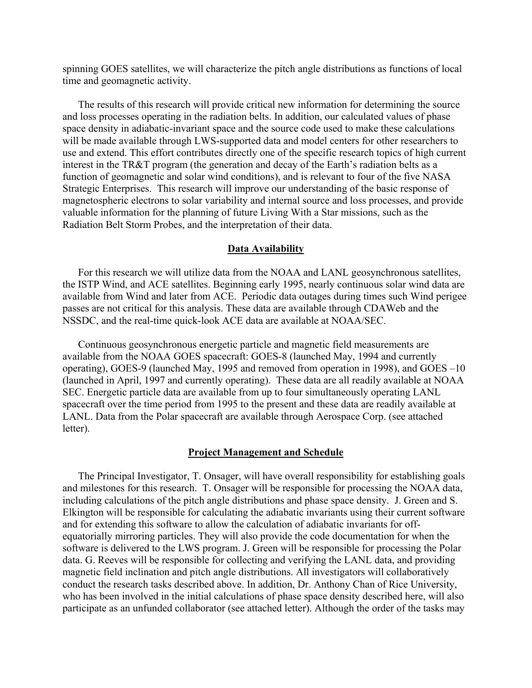spinning GOES satellites, we will characterize the pitch angle distributions as functions of local time and geomagnetic activity.

The results of this research will provide critical new information for determining the source and loss processes operating in the radiation belts. In addition, our calculated values of phase space density in adiabatic-invariant space and the source code used to make these calculations will be made available through LWS-supported data and model centers for other researchers to use and extend. This effort contributes directly one of the specific research topics of high current interest in the TR&T program (the generation and decay of the Earth's radiation belts as a function of geomagnetic and solar wind conditions), and is relevant to four of the five NASA Strategic Enterprises. This research will improve our understanding of the basic response of magnetospheric electrons to solar variability and internal source and loss processes, and provide valuable information for the planning of future Living With a Star missions, such as the Radiation Belt Storm Probes, and the interpretation of their data.

#### **Data Availability**

For this research we will utilize data from the NOAA and LANL geosynchronous satellites, the ISTP Wind, and ACE satellites. Beginning early 1995, nearly continuous solar wind data are available from Wind and later from ACE. Periodic data outages during times such Wind perigee passes are not critical for this analysis. These data are available through CDAWeb and the NSSDC, and the real-time quick-look ACE data are available at NOAA/SEC.

Continuous geosynchronous energetic particle and magnetic field measurements are available from the NOAA GOES spacecraft: GOES-8 (launched May, 1994 and currently operating), GOES-9 (launched May, 1995 and removed from operation in 1998), and GOES –10 (launched in April, 1997 and currently operating). These data are all readily available at NOAA SEC. Energetic particle data are available from up to four simultaneously operating LANL spacecraft over the time period from 1995 to the present and these data are readily available at LANL. Data from the Polar spacecraft are available through Aerospace Corp. (see attached letter).

#### **Project Management and Schedule**

The Principal Investigator, T. Onsager, will have overall responsibility for establishing goals and milestones for this research. T. Onsager will be responsible for processing the NOAA data, including calculations of the pitch angle distributions and phase space density. J. Green and S. Elkington will be responsible for calculating the adiabatic invariants using their current software and for extending this software to allow the calculation of adiabatic invariants for offequatorially mirroring particles. They will also provide the code documentation for when the software is delivered to the LWS program. J. Green will be responsible for processing the Polar data. G. Reeves will be responsible for collecting and verifying the LANL data, and providing magnetic field inclination and pitch angle distributions. All investigators will collaboratively conduct the research tasks described above. In addition, Dr. Anthony Chan of Rice University, who has been involved in the initial calculations of phase space density described here, will also participate as an unfunded collaborator (see attached letter). Although the order of the tasks may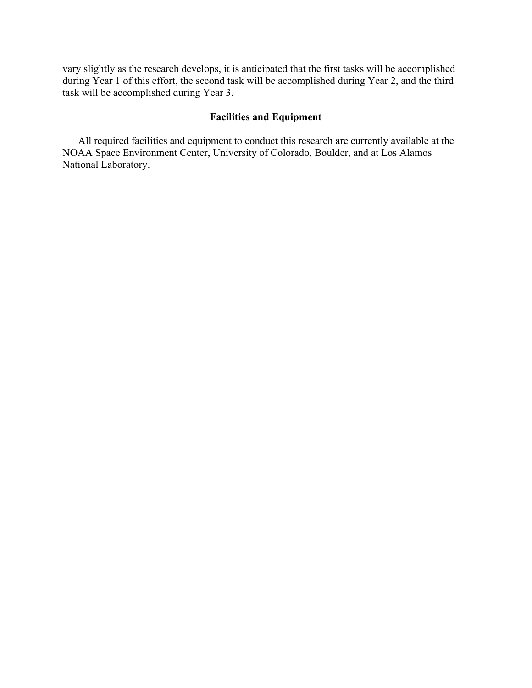vary slightly as the research develops, it is anticipated that the first tasks will be accomplished during Year 1 of this effort, the second task will be accomplished during Year 2, and the third task will be accomplished during Year 3.

# **Facilities and Equipment**

All required facilities and equipment to conduct this research are currently available at the NOAA Space Environment Center, University of Colorado, Boulder, and at Los Alamos National Laboratory.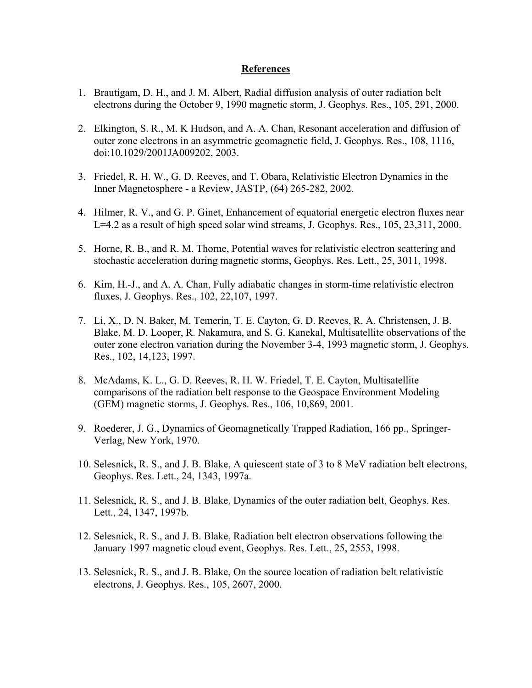## **References**

- 1. Brautigam, D. H., and J. M. Albert, Radial diffusion analysis of outer radiation belt electrons during the October 9, 1990 magnetic storm, J. Geophys. Res., 105, 291, 2000.
- 2. Elkington, S. R., M. K Hudson, and A. A. Chan, Resonant acceleration and diffusion of outer zone electrons in an asymmetric geomagnetic field, J. Geophys. Res., 108, 1116, doi:10.1029/2001JA009202, 2003.
- 3. Friedel, R. H. W., G. D. Reeves, and T. Obara, Relativistic Electron Dynamics in the Inner Magnetosphere - a Review, JASTP, (64) 265-282, 2002.
- 4. Hilmer, R. V., and G. P. Ginet, Enhancement of equatorial energetic electron fluxes near L=4.2 as a result of high speed solar wind streams, J. Geophys. Res., 105, 23,311, 2000.
- 5. Horne, R. B., and R. M. Thorne, Potential waves for relativistic electron scattering and stochastic acceleration during magnetic storms, Geophys. Res. Lett., 25, 3011, 1998.
- 6. Kim, H.-J., and A. A. Chan, Fully adiabatic changes in storm-time relativistic electron fluxes, J. Geophys. Res., 102, 22,107, 1997.
- 7. Li, X., D. N. Baker, M. Temerin, T. E. Cayton, G. D. Reeves, R. A. Christensen, J. B. Blake, M. D. Looper, R. Nakamura, and S. G. Kanekal, Multisatellite observations of the outer zone electron variation during the November 3-4, 1993 magnetic storm, J. Geophys. Res., 102, 14,123, 1997.
- 8. McAdams, K. L., G. D. Reeves, R. H. W. Friedel, T. E. Cayton, Multisatellite comparisons of the radiation belt response to the Geospace Environment Modeling (GEM) magnetic storms, J. Geophys. Res., 106, 10,869, 2001.
- 9. Roederer, J. G., Dynamics of Geomagnetically Trapped Radiation, 166 pp., Springer-Verlag, New York, 1970.
- 10. Selesnick, R. S., and J. B. Blake, A quiescent state of 3 to 8 MeV radiation belt electrons, Geophys. Res. Lett., 24, 1343, 1997a.
- 11. Selesnick, R. S., and J. B. Blake, Dynamics of the outer radiation belt, Geophys. Res. Lett., 24, 1347, 1997b.
- 12. Selesnick, R. S., and J. B. Blake, Radiation belt electron observations following the January 1997 magnetic cloud event, Geophys. Res. Lett., 25, 2553, 1998.
- 13. Selesnick, R. S., and J. B. Blake, On the source location of radiation belt relativistic electrons, J. Geophys. Res., 105, 2607, 2000.